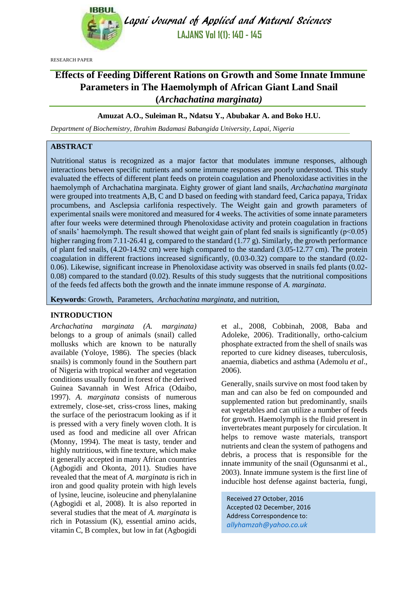

Lapai Journal of Applied and Natural Sciences **LAJANS Vol 1(1): 140 - 145**

RESEARCH PAPER

# **Effects of Feeding Different Rations on Growth and Some Innate Immune Parameters in The Haemolymph of African Giant Land Snail (***Archachatina marginata)*

## **Amuzat A.O., Suleiman R., Ndatsu Y., Abubakar A. and Boko H.U.**

*Department of Biochemistry, Ibrahim Badamasi Babangida University, Lapai, Nigeria*

## **ABSTRACT**

Nutritional status is recognized as a major factor that modulates immune responses, although interactions between specific nutrients and some immune responses are poorly understood. This study evaluated the effects of different plant feeds on protein coagulation and Phenoloxidase activities in the haemolymph of Archachatina marginata. Eighty grower of giant land snails, *Archachatina marginata* were grouped into treatments A,B, C and D based on feeding with standard feed, Carica papaya, Tridax procumbens, and Asclepsia carlifonia respectively. The Weight gain and growth parameters of experimental snails were monitored and measured for 4 weeks. The activities of some innate parameters after four weeks were determined through Phenoloxidase activity and protein coagulation in fractions of snails' haemolymph. The result showed that weight gain of plant fed snails is significantly ( $p<0.05$ ) higher ranging from 7.11-26.41 g, compared to the standard (1.77 g). Similarly, the growth performance of plant fed snails, (4.20-14.92 cm) were high compared to the standard (3.05-12.77 cm). The protein coagulation in different fractions increased significantly, (0.03-0.32) compare to the standard (0.02- 0.06). Likewise, significant increase in Phenoloxidase activity was observed in snails fed plants (0.02- 0.08) compared to the standard (0.02). Results of this study suggests that the nutritional compositions of the feeds fed affects both the growth and the innate immune response of *A. marginata*.

**Keywords**: Growth, Parameters, *Archachatina marginata*, and nutrition,

#### **INTRODUCTION**

*Archachatina marginata (A. marginata)* belongs to a group of animals (snail) called mollusks which are known to be naturally available (Yoloye, 1986). The species (black snails) is commonly found in the Southern part of Nigeria with tropical weather and vegetation conditions usually found in forest of the derived Guinea Savannah in West Africa (Odaibo, 1997). *A. marginata* consists of numerous extremely, close-set, criss-cross lines, making the surface of the periostracum looking as if it is pressed with a very finely woven cloth. It is used as food and medicine all over African (Monny, 1994). The meat is tasty, tender and highly nutritious, with fine texture, which make it generally accepted in many African countries (Agbogidi and Okonta, 2011). Studies have revealed that the meat of *A. marginata* is rich in iron and good quality protein with high levels of lysine, leucine, isoleucine and phenylalanine (Agbogidi et al, 2008). It is also reported in several studies that the meat of *A. marginata* is rich in Potassium (K), essential amino acids, vitamin C, B complex, but low in fat (Agbogidi

et al., 2008, Cobbinah, 2008, Baba and Adoleke, 2006). Traditionally, ortho-calcium phosphate extracted from the shell of snails was reported to cure kidney diseases, tuberculosis, anaemia, diabetics and asthma (Ademolu *et al*., 2006).

Generally, snails survive on most food taken by man and can also be fed on compounded and supplemented ration but predominantly, snails eat vegetables and can utilize a number of feeds for growth. Haemolymph is the fluid present in invertebrates meant purposely for circulation. It helps to remove waste materials, transport nutrients and clean the system of pathogens and debris, a process that is responsible for the innate immunity of the snail (Ogunsanmi et al., 2003). Innate immune system is the first line of inducible host defense against bacteria, fungi,

Received 27 October, 2016 Accepted 02 December, 2016 Address Correspondence to: *[allyhamzah@yahoo.co.uk](mailto:allyhamzah@yahoo.co.uk)*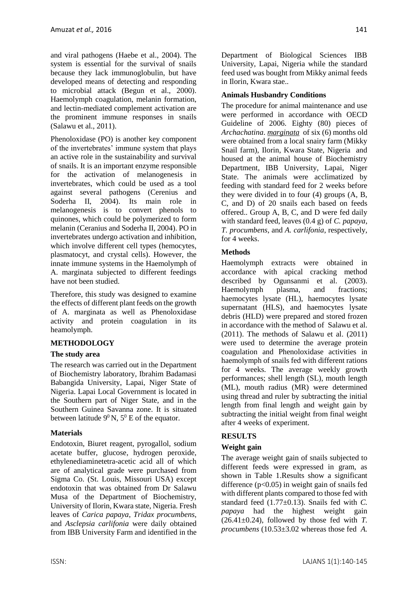and viral pathogens (Haebe et al., 2004). The system is essential for the survival of snails because they lack immunoglobulin, but have developed means of detecting and responding to microbial attack (Begun et al., 2000). Haemolymph coagulation, melanin formation, and lectin-mediated complement activation are the prominent immune responses in snails (Salawu et al., 2011).

Phenoloxidase (PO) is another key component of the invertebrates' immune system that plays an active role in the sustainability and survival of snails. It is an important enzyme responsible for the activation of melanogenesis in invertebrates, which could be used as a tool against several pathogens (Cerenius and Soderha II, 2004). Its main role in melanogenesis is to convert phenols to quinones, which could be polymerized to form melanin (Ceranius and Soderha II, 2004). PO in invertebrates undergo activation and inhibition, which involve different cell types (hemocytes, plasmatocyt, and crystal cells). However, the innate immune systems in the Haemolymph of A. marginata subjected to different feedings have not been studied.

Therefore, this study was designed to examine the effects of different plant feeds on the growth of A. marginata as well as Phenoloxidase activity and protein coagulation in its heamolymph.

# **METHODOLOGY**

## **The study area**

The research was carried out in the Department of Biochemistry laboratory, Ibrahim Badamasi Babangida University, Lapai, Niger State of Nigeria. Lapai Local Government is located in the Southern part of Niger State, and in the Southern Guinea Savanna zone. It is situated between latitude  $9^0$  N,  $5^0$  E of the equator.

## **Materials**

Endotoxin, Biuret reagent, pyrogallol, sodium acetate buffer, glucose, hydrogen peroxide, ethylenediaminetetra-acetic acid all of which are of analytical grade were purchased from Sigma Co. (St. Louis, Missouri USA) except endotoxin that was obtained from Dr Salawu Musa of the Department of Biochemistry, University of Ilorin, Kwara state, Nigeria. Fresh leaves of *Carica papaya*, *Tridax procumbens*, and *Asclepsia carlifonia* were daily obtained from IBB University Farm and identified in the Department of Biological Sciences IBB University, Lapai, Nigeria while the standard feed used was bought from Mikky animal feeds in Ilorin, Kwara stae..

## **Animals Husbandry Conditions**

The procedure for animal maintenance and use were performed in accordance with OECD Guideline of 2006. Eighty (80) pieces of *Archachatina*. *marginata* of six (6) months old were obtained from a local snairy farm (Mikky Snail farm), Ilorin, Kwara State, Nigeria and housed at the animal house of Biochemistry Department, IBB University, Lapai, Niger State. The animals were acclimatized by feeding with standard feed for 2 weeks before they were divided in to four (4) groups (A, B, C, and D) of 20 snails each based on feeds offered.. Group A, B, C, and D were fed daily with standard feed, leaves (0.4 g) of *C. papaya*, *T. procumbens*, and *A. carlifonia*, respectively, for 4 weeks.

## **Methods**

Haemolymph extracts were obtained in accordance with apical cracking method described by Ogunsanmi et al. (2003). Haemolymph plasma, and fractions; haemocytes lysate (HL), haemocytes lysate supernatant (HLS), and haemocytes lysate debris (HLD) were prepared and stored frozen in accordance with the method of Salawu et al. (2011). The methods of Salawu et al. (2011) were used to determine the average protein coagulation and Phenoloxidase activities in haemolymph of snails fed with different rations for 4 weeks. The average weekly growth performances; shell length (SL), mouth length (ML), mouth radius (MR) were determined using thread and ruler by subtracting the initial length from final length and weight gain by subtracting the initial weight from final weight after 4 weeks of experiment.

## **RESULTS**

# **Weight gain**

The average weight gain of snails subjected to different feeds were expressed in gram, as shown in Table 1.Results show a significant difference  $(p<0.05)$  in weight gain of snails fed with different plants compared to those fed with standard feed (1.77±0.13). Snails fed with *C. papaya* had the highest weight gain  $(26.41 \pm 0.24)$ , followed by those fed with *T*. *procumbens* (10.53±3.02 whereas those fed *A.*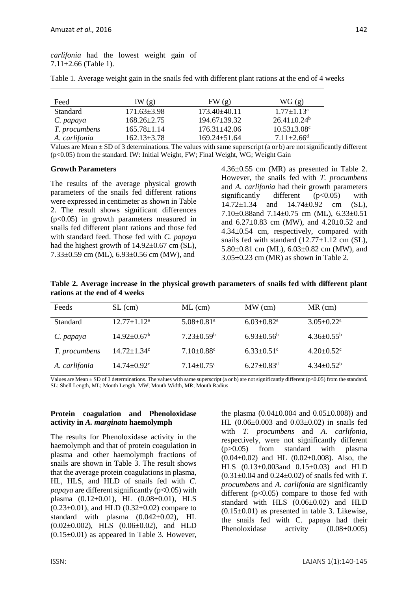*carlifonia* had the lowest weight gain of  $7.11 \pm 2.66$  (Table 1).

| Table 1. Average weight gain in the snails fed with different plant rations at the end of 4 weeks |  |  |  |  |  |  |  |
|---------------------------------------------------------------------------------------------------|--|--|--|--|--|--|--|
|                                                                                                   |  |  |  |  |  |  |  |

| Feed          | IW(g)             | FW(g)              | WG(g)                         |
|---------------|-------------------|--------------------|-------------------------------|
| Standard      | $171.63 \pm 3.98$ | $173.40\pm 40.11$  | $1.77 \pm 1.13^a$             |
| C. papaya     | $168.26 \pm 2.75$ | $194.67 \pm 39.32$ | $26.41 \pm 0.24$ <sup>b</sup> |
| T. procumbens | $165.78 \pm 1.14$ | $176.31 \pm 42.06$ | $10.53 \pm 3.08$ <sup>c</sup> |
| A. carlifonia | $162.13 \pm 3.78$ | $169.24 \pm 51.64$ | $7.11 \pm 2.66$ <sup>d</sup>  |

Values are Mean ± SD of 3 determinations. The values with same superscript (a or b) are not significantly different (p<0.05) from the standard. IW: Initial Weight, FW; Final Weight, WG; Weight Gain

#### **Growth Parameters**

The results of the average physical growth parameters of the snails fed different rations were expressed in centimeter as shown in Table 2. The result shows significant differences (p<0.05) in growth parameters measured in snails fed different plant rations and those fed with standard feed. Those fed with *C. papaya* had the highest growth of  $14.92\pm0.67$  cm (SL), 7.33±0.59 cm (ML), 6.93±0.56 cm (MW), and

4.36±0.55 cm (MR) as presented in Table 2. However, the snails fed with *T. procumbens* and *A. carlifonia* had their growth parameters significantly different  $(p<0.05)$  with 14.72±1.34 and 14.74±0.92 cm (SL), 7.10±0.88and 7.14±0.75 cm (ML), 6.33±0.51 and 6.27±0.83 cm (MW), and 4.20±0.52 and 4.34±0.54 cm, respectively, compared with snails fed with standard  $(12.77\pm1.12$  cm (SL), 5.80±0.81 cm (ML), 6.03±0.82 cm (MW), and  $3.05\pm0.23$  cm (MR) as shown in Table 2.

**Table 2. Average increase in the physical growth parameters of snails fed with different plant rations at the end of 4 weeks**

| Feeds           | $SL$ (cm)                     | $ML$ (cm)                    | $MW$ (cm)                    | $MR$ (cm)                    |
|-----------------|-------------------------------|------------------------------|------------------------------|------------------------------|
| <b>Standard</b> | $12.77 \pm 1.12^a$            | $5.08 \pm 0.81$ <sup>a</sup> | $6.03 \pm 0.82$ <sup>a</sup> | $3.05 \pm 0.22^{\text{a}}$   |
| C. papaya       | $14.92 \pm 0.67^{\rm b}$      | $7.23 \pm 0.59^b$            | $6.93 \pm 0.56^b$            | $4.36 \pm 0.55^{\rm b}$      |
| T. procumbens   | $14.72 \pm 1.34$ °            | $7.10 \pm 0.88$ <sup>c</sup> | $6.33 \pm 0.51$ °            | $4.20 \pm 0.52$ <sup>c</sup> |
| A. carlifonia   | $14.74 \pm 0.92$ <sup>c</sup> | $7.14 \pm 0.75$ <sup>c</sup> | $6.27 \pm 0.83$ <sup>d</sup> | $4.34 \pm 0.52^b$            |

Values are Mean ± SD of 3 determinations. The values with same superscript (a or b) are not significantly different (p<0.05) from the standard. SL: Shell Length, ML; Mouth Length, MW; Mouth Width, MR; Mouth Radius

#### **Protein coagulation and Phenoloxidase activity in** *A. marginata* **haemolymph**

The results for Phenoloxidase activity in the haemolymph and that of protein coagulation in plasma and other haemolymph fractions of snails are shown in Table 3. The result shows that the average protein coagulations in plasma, HL, HLS, and HLD of snails fed with *C. papaya* are different significantly  $(p<0.05)$  with plasma (0.12±0.01), HL (0.08±0.01), HLS  $(0.23\pm0.01)$ , and HLD  $(0.32\pm0.02)$  compare to standard with plasma  $(0.042\pm0.02)$ , HL (0.02±0.002), HLS (0.06±0.02), and HLD  $(0.15\pm0.01)$  as appeared in Table 3. However,

the plasma  $(0.04\pm0.004$  and  $(0.05\pm0.008)$  and HL (0.06±0.003 and 0.03±0.02) in snails fed with *T. procumbens* and *A. carlifonia*, respectively, were not significantly different (p>0.05) from standard with plasma  $(0.04\pm0.02)$  and HL  $(0.02\pm0.008)$ . Also, the HLS (0.13±0.003and 0.15±0.03) and HLD (0.31±0.04 and 0.24±0.02) of snails fed with *T. procumbens* and *A. carlifonia* are significantly different  $(p<0.05)$  compare to those fed with standard with HLS (0.06±0.02) and HLD  $(0.15\pm0.01)$  as presented in table 3. Likewise, the snails fed with C. papaya had their Phenoloxidase activity  $(0.08\pm0.005)$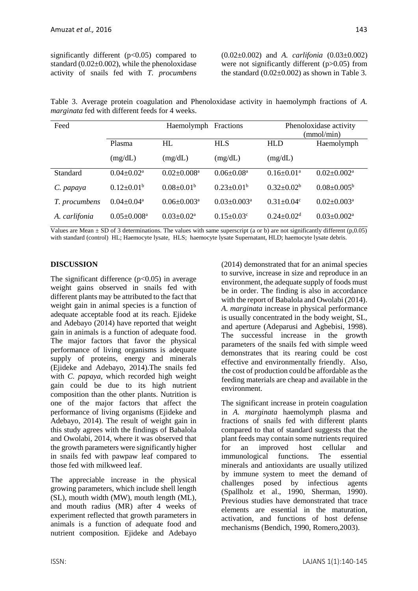significantly different  $(p<0.05)$  compared to standard  $(0.02\pm0.002)$ , while the phenoloxidase activity of snails fed with *T. procumbens* (0.02±0.002) and *A. carlifonia* (0.03±0.002) were not significantly different (p>0.05) from the standard  $(0.02\pm0.002)$  as shown in Table 3.

Table 3. Average protein coagulation and Phenoloxidase activity in haemolymph fractions of *A. marginata* fed with different feeds for 4 weeks.

| Feed          |                               | Haemolymph Fractions       |                              | Phenoloxidase activity<br>(mmol/min) |                               |  |  |
|---------------|-------------------------------|----------------------------|------------------------------|--------------------------------------|-------------------------------|--|--|
|               | Plasma                        | HL                         | <b>HLS</b>                   | <b>HLD</b>                           | Haemolymph                    |  |  |
|               | (mg/dL)                       | (mg/dL)                    | (mg/dL)                      | (mg/dL)                              |                               |  |  |
| Standard      | $0.04 \pm 0.02^a$             | $0.02 \pm 0.008^a$         | $0.06 \pm 0.08^a$            | $0.16 \pm 0.01^{\text{a}}$           | $0.02 \pm 0.002^{\text{a}}$   |  |  |
| C. papaya     | $0.12 \pm 0.01^b$             | $0.08 \pm 0.01^b$          | $0.23 \pm 0.01^b$            | $0.32 \pm 0.02^b$                    | $0.08 \pm 0.005^{\rm b}$      |  |  |
| T. procumbens | $0.04 \pm 0.04^a$             | $0.06 + 0.003a$            | $0.03 + 0.003a$              | $0.31 \pm 0.04$ <sup>c</sup>         | $0.02 \pm 0.003$ <sup>a</sup> |  |  |
| A. carlifonia | $0.05 \pm 0.008$ <sup>a</sup> | $0.03 \pm 0.02^{\text{a}}$ | $0.15 \pm 0.03$ <sup>c</sup> | $0.24 \pm 0.02$ <sup>d</sup>         | $0.03 \pm 0.002^{\text{a}}$   |  |  |

Values are Mean  $\pm$  SD of 3 determinations. The values with same superscript (a or b) are not significantly different (p,0.05) with standard (control) HL; Haemocyte lysate, HLS; haemocyte lysate Supernatant, HLD; haemocyte lysate debris.

## **DISCUSSION**

The significant difference  $(p<0.05)$  in average weight gains observed in snails fed with different plants may be attributed to the fact that weight gain in animal species is a function of adequate acceptable food at its reach. Ejideke and Adebayo (2014) have reported that weight gain in animals is a function of adequate food. The major factors that favor the physical performance of living organisms is adequate supply of proteins, energy and minerals (Ejideke and Adebayo, 2014).The snails fed with *C. papaya*, which recorded high weight gain could be due to its high nutrient composition than the other plants. Nutrition is one of the major factors that affect the performance of living organisms (Ejideke and Adebayo, 2014). The result of weight gain in this study agrees with the findings of Babalola and Owolabi, 2014, where it was observed that the growth parameters were significantly higher in snails fed with pawpaw leaf compared to those fed with milkweed leaf.

The appreciable increase in the physical growing parameters, which include shell length (SL), mouth width (MW), mouth length (ML), and mouth radius (MR) after 4 weeks of experiment reflected that growth parameters in animals is a function of adequate food and nutrient composition. Ejideke and Adebayo

(2014) demonstrated that for an animal species to survive, increase in size and reproduce in an environment, the adequate supply of foods must be in order. The finding is also in accordance with the report of Babalola and Owolabi (2014). *A. marginata* increase in physical performance is usually concentrated in the body weight, SL, and aperture (Adeparusi and Agbebisi, 1998). The successful increase in the growth parameters of the snails fed with simple weed demonstrates that its rearing could be cost effective and environmentally friendly. Also, the cost of production could be affordable as the feeding materials are cheap and available in the environment.

The significant increase in protein coagulation in *A. marginata* haemolymph plasma and fractions of snails fed with different plants compared to that of standard suggests that the plant feeds may contain some nutrients required for an improved host cellular and immunological functions. The essential minerals and antioxidants are usually utilized by immune system to meet the demand of challenges posed by infectious agents (Spallholz et al., 1990, Sherman, 1990). Previous studies have demonstrated that trace elements are essential in the maturation, activation, and functions of host defense mechanisms (Bendich, 1990, Romero,2003).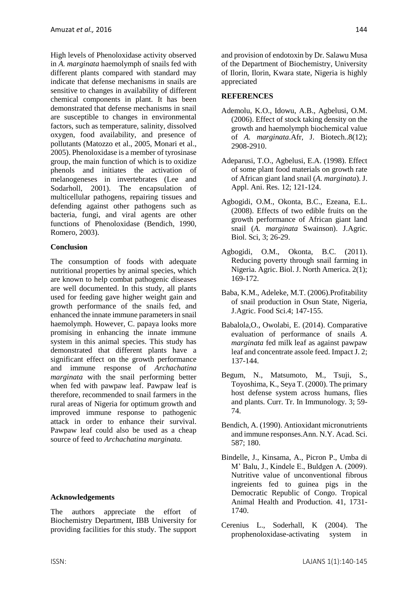High levels of Phenoloxidase activity observed in *A. marginata* haemolymph of snails fed with different plants compared with standard may indicate that defense mechanisms in snails are sensitive to changes in availability of different chemical components in plant. It has been demonstrated that defense mechanisms in snail are susceptible to changes in environmental factors, such as temperature, salinity, dissolved oxygen, food availability, and presence of pollutants (Matozzo et al., 2005, Monari et al., 2005). Phenoloxidase is a member of tyrosinase group, the main function of which is to oxidize phenols and initiates the activation of melanogeneses in invertebrates (Lee and Sodarholl, 2001). The encapsulation of multicellular pathogens, repairing tissues and defending against other pathogens such as bacteria, fungi, and viral agents are other functions of Phenoloxidase (Bendich, 1990, Romero, 2003).

## **Conclusion**

The consumption of foods with adequate nutritional properties by animal species, which are known to help combat pathogenic diseases are well documented. In this study, all plants used for feeding gave higher weight gain and growth performance of the snails fed, and enhanced the innate immune parameters in snail haemolymph. However, C. papaya looks more promising in enhancing the innate immune system in this animal species. This study has demonstrated that different plants have a significant effect on the growth performance and immune response of *Archachatina marginata* with the snail performing better when fed with pawpaw leaf. Pawpaw leaf is therefore, recommended to snail farmers in the rural areas of Nigeria for optimum growth and improved immune response to pathogenic attack in order to enhance their survival. Pawpaw leaf could also be used as a cheap source of feed to *Archachatina marginata.*

#### **Acknowledgements**

The authors appreciate the effort of Biochemistry Department, IBB University for providing facilities for this study. The support and provision of endotoxin by Dr. Salawu Musa of the Department of Biochemistry, University of Ilorin, Ilorin, Kwara state, Nigeria is highly appreciated

#### **REFERENCES**

- Ademolu, K.O., Idowu, A.B., Agbelusi, O.M. (2006). Effect of stock taking density on the growth and haemolymph biochemical value of *A. marginata*.Afr, J. Biotech..8(12); 2908-2910.
- Adeparusi, T.O., Agbelusi, E.A. (1998). Effect of some plant food materials on growth rate of African giant land snail (*A. marginata*). J. Appl. Ani. Res. 12; 121-124.
- Agbogidi, O.M., Okonta, B.C., Ezeana, E.L. (2008). Effects of two edible fruits on the growth performance of African giant land snail (*A. marginata* Swainson). J.Agric. Biol. Sci, 3; 26-29.
- Agbogidi, O.M., Okonta, B.C. (2011). Reducing poverty through snail farming in Nigeria. Agric. Biol. J. North America. 2(1); 169-172.
- Baba, K.M., Adeleke, M.T. (2006).Profitability of snail production in Osun State, Nigeria, J.Agric. Food Sci.4; 147-155.
- Babalola,O., Owolabi, E. (2014). Comparative evaluation of performance of snails *A. marginata* fed milk leaf as against pawpaw leaf and concentrate assole feed. Impact J. 2; 137-144.
- Begum, N., Matsumoto, M., Tsuji, S., Toyoshima, K., Seya T. (2000). The primary host defense system across humans, flies and plants. Curr. Tr. In Immunology. 3; 59- 74.
- Bendich, A. (1990). Antioxidant micronutrients and immune responses.Ann. N.Y. Acad. Sci. 587; 180.
- Bindelle, J., Kinsama, A., Picron P., Umba di M' Balu, J., Kindele E., Buldgen A. (2009). Nutritive value of unconventional fibrous ingreients fed to guinea pigs in the Democratic Republic of Congo. Tropical Animal Health and Production. 41, 1731- 1740.
- Cerenius L., Soderhall, K (2004). The prophenoloxidase-activating system in